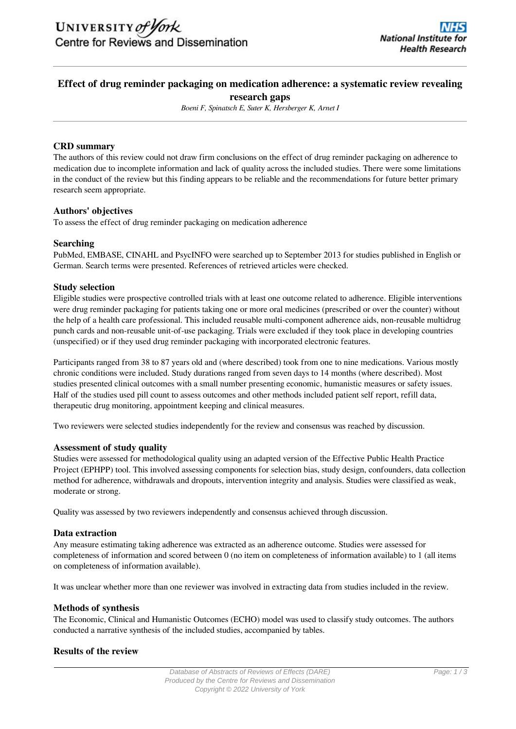# **Effect of drug reminder packaging on medication adherence: a systematic review revealing research gaps**

*Boeni F, Spinatsch E, Suter K, Hersberger K, Arnet I*

# **CRD summary**

The authors of this review could not draw firm conclusions on the effect of drug reminder packaging on adherence to medication due to incomplete information and lack of quality across the included studies. There were some limitations in the conduct of the review but this finding appears to be reliable and the recommendations for future better primary research seem appropriate.

## **Authors' objectives**

To assess the effect of drug reminder packaging on medication adherence

## **Searching**

PubMed, EMBASE, CINAHL and PsycINFO were searched up to September 2013 for studies published in English or German. Search terms were presented. References of retrieved articles were checked.

# **Study selection**

Eligible studies were prospective controlled trials with at least one outcome related to adherence. Eligible interventions were drug reminder packaging for patients taking one or more oral medicines (prescribed or over the counter) without the help of a health care professional. This included reusable multi-component adherence aids, non-reusable multidrug punch cards and non-reusable unit-of-use packaging. Trials were excluded if they took place in developing countries (unspecified) or if they used drug reminder packaging with incorporated electronic features.

Participants ranged from 38 to 87 years old and (where described) took from one to nine medications. Various mostly chronic conditions were included. Study durations ranged from seven days to 14 months (where described). Most studies presented clinical outcomes with a small number presenting economic, humanistic measures or safety issues. Half of the studies used pill count to assess outcomes and other methods included patient self report, refill data, therapeutic drug monitoring, appointment keeping and clinical measures.

Two reviewers were selected studies independently for the review and consensus was reached by discussion.

## **Assessment of study quality**

Studies were assessed for methodological quality using an adapted version of the Effective Public Health Practice Project (EPHPP) tool. This involved assessing components for selection bias, study design, confounders, data collection method for adherence, withdrawals and dropouts, intervention integrity and analysis. Studies were classified as weak, moderate or strong.

Quality was assessed by two reviewers independently and consensus achieved through discussion.

## **Data extraction**

Any measure estimating taking adherence was extracted as an adherence outcome. Studies were assessed for completeness of information and scored between 0 (no item on completeness of information available) to 1 (all items on completeness of information available).

It was unclear whether more than one reviewer was involved in extracting data from studies included in the review.

## **Methods of synthesis**

The Economic, Clinical and Humanistic Outcomes (ECHO) model was used to classify study outcomes. The authors conducted a narrative synthesis of the included studies, accompanied by tables.

## **Results of the review**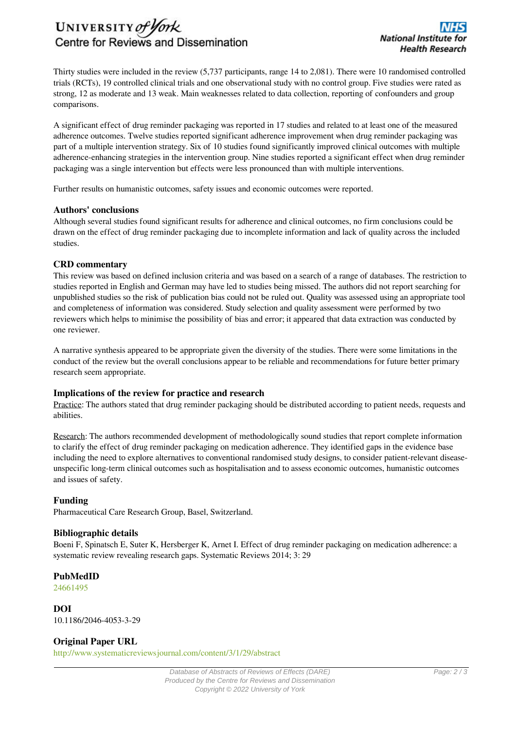

Thirty studies were included in the review (5,737 participants, range 14 to 2,081). There were 10 randomised controlled trials (RCTs), 19 controlled clinical trials and one observational study with no control group. Five studies were rated as strong, 12 as moderate and 13 weak. Main weaknesses related to data collection, reporting of confounders and group comparisons.

A significant effect of drug reminder packaging was reported in 17 studies and related to at least one of the measured adherence outcomes. Twelve studies reported significant adherence improvement when drug reminder packaging was part of a multiple intervention strategy. Six of 10 studies found significantly improved clinical outcomes with multiple adherence-enhancing strategies in the intervention group. Nine studies reported a significant effect when drug reminder packaging was a single intervention but effects were less pronounced than with multiple interventions.

Further results on humanistic outcomes, safety issues and economic outcomes were reported.

#### **Authors' conclusions**

Although several studies found significant results for adherence and clinical outcomes, no firm conclusions could be drawn on the effect of drug reminder packaging due to incomplete information and lack of quality across the included studies.

#### **CRD commentary**

This review was based on defined inclusion criteria and was based on a search of a range of databases. The restriction to studies reported in English and German may have led to studies being missed. The authors did not report searching for unpublished studies so the risk of publication bias could not be ruled out. Quality was assessed using an appropriate tool and completeness of information was considered. Study selection and quality assessment were performed by two reviewers which helps to minimise the possibility of bias and error; it appeared that data extraction was conducted by one reviewer.

A narrative synthesis appeared to be appropriate given the diversity of the studies. There were some limitations in the conduct of the review but the overall conclusions appear to be reliable and recommendations for future better primary research seem appropriate.

## **Implications of the review for practice and research**

Practice: The authors stated that drug reminder packaging should be distributed according to patient needs, requests and abilities.

Research: The authors recommended development of methodologically sound studies that report complete information to clarify the effect of drug reminder packaging on medication adherence. They identified gaps in the evidence base including the need to explore alternatives to conventional randomised study designs, to consider patient-relevant diseaseunspecific long-term clinical outcomes such as hospitalisation and to assess economic outcomes, humanistic outcomes and issues of safety.

## **Funding**

Pharmaceutical Care Research Group, Basel, Switzerland.

## **Bibliographic details**

Boeni F, Spinatsch E, Suter K, Hersberger K, Arnet I. Effect of drug reminder packaging on medication adherence: a systematic review revealing research gaps. Systematic Reviews 2014; 3: 29

## **PubMedID**

[24661495](http://www.ncbi.nlm.nih.gov/pubmed?term=24661495)

**DOI** 10.1186/2046-4053-3-29

# **Original Paper URL**

http://www.systematicreviewsjournal.com/content/3/1/29/abstract